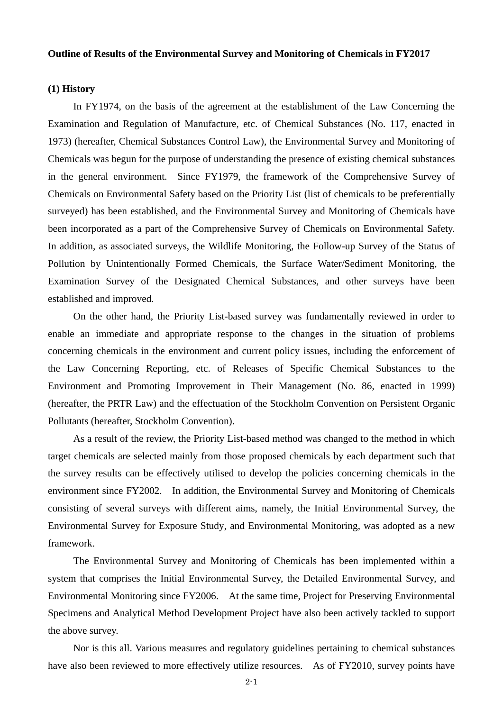#### **Outline of Results of the Environmental Survey and Monitoring of Chemicals in FY2017**

# **(1) History**

In FY1974, on the basis of the agreement at the establishment of the Law Concerning the Examination and Regulation of Manufacture, etc. of Chemical Substances (No. 117, enacted in 1973) (hereafter, Chemical Substances Control Law), the Environmental Survey and Monitoring of Chemicals was begun for the purpose of understanding the presence of existing chemical substances in the general environment. Since FY1979, the framework of the Comprehensive Survey of Chemicals on Environmental Safety based on the Priority List (list of chemicals to be preferentially surveyed) has been established, and the Environmental Survey and Monitoring of Chemicals have been incorporated as a part of the Comprehensive Survey of Chemicals on Environmental Safety. In addition, as associated surveys, the Wildlife Monitoring, the Follow-up Survey of the Status of Pollution by Unintentionally Formed Chemicals, the Surface Water/Sediment Monitoring, the Examination Survey of the Designated Chemical Substances, and other surveys have been established and improved.

On the other hand, the Priority List-based survey was fundamentally reviewed in order to enable an immediate and appropriate response to the changes in the situation of problems concerning chemicals in the environment and current policy issues, including the enforcement of the Law Concerning Reporting, etc. of Releases of Specific Chemical Substances to the Environment and Promoting Improvement in Their Management (No. 86, enacted in 1999) (hereafter, the PRTR Law) and the effectuation of the Stockholm Convention on Persistent Organic Pollutants (hereafter, Stockholm Convention).

As a result of the review, the Priority List-based method was changed to the method in which target chemicals are selected mainly from those proposed chemicals by each department such that the survey results can be effectively utilised to develop the policies concerning chemicals in the environment since FY2002. In addition, the Environmental Survey and Monitoring of Chemicals consisting of several surveys with different aims, namely, the Initial Environmental Survey, the Environmental Survey for Exposure Study, and Environmental Monitoring, was adopted as a new framework.

The Environmental Survey and Monitoring of Chemicals has been implemented within a system that comprises the Initial Environmental Survey, the Detailed Environmental Survey, and Environmental Monitoring since FY2006. At the same time, Project for Preserving Environmental Specimens and Analytical Method Development Project have also been actively tackled to support the above survey.

Nor is this all. Various measures and regulatory guidelines pertaining to chemical substances have also been reviewed to more effectively utilize resources. As of FY2010, survey points have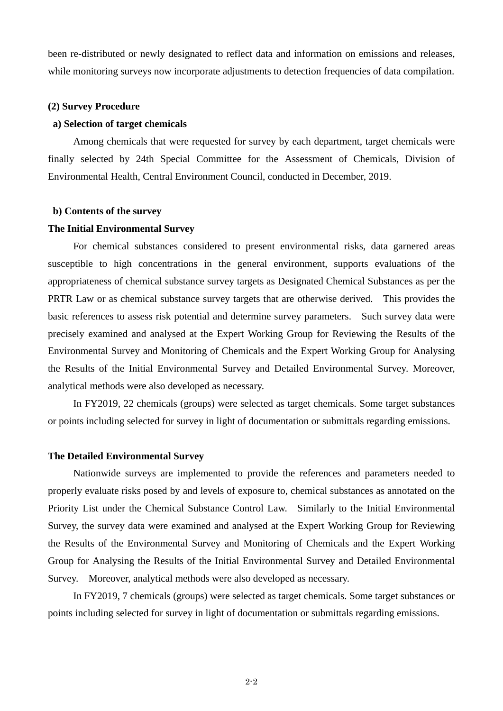been re-distributed or newly designated to reflect data and information on emissions and releases, while monitoring surveys now incorporate adjustments to detection frequencies of data compilation.

## **(2) Survey Procedure**

## **a) Selection of target chemicals**

Among chemicals that were requested for survey by each department, target chemicals were finally selected by 24th Special Committee for the Assessment of Chemicals, Division of Environmental Health, Central Environment Council, conducted in December, 2019.

#### **b) Contents of the survey**

### **The Initial Environmental Survey**

For chemical substances considered to present environmental risks, data garnered areas susceptible to high concentrations in the general environment, supports evaluations of the appropriateness of chemical substance survey targets as Designated Chemical Substances as per the PRTR Law or as chemical substance survey targets that are otherwise derived. This provides the basic references to assess risk potential and determine survey parameters. Such survey data were precisely examined and analysed at the Expert Working Group for Reviewing the Results of the Environmental Survey and Monitoring of Chemicals and the Expert Working Group for Analysing the Results of the Initial Environmental Survey and Detailed Environmental Survey. Moreover, analytical methods were also developed as necessary.

In FY2019, 22 chemicals (groups) were selected as target chemicals. Some target substances or points including selected for survey in light of documentation or submittals regarding emissions.

#### **The Detailed Environmental Survey**

Nationwide surveys are implemented to provide the references and parameters needed to properly evaluate risks posed by and levels of exposure to, chemical substances as annotated on the Priority List under the Chemical Substance Control Law. Similarly to the Initial Environmental Survey, the survey data were examined and analysed at the Expert Working Group for Reviewing the Results of the Environmental Survey and Monitoring of Chemicals and the Expert Working Group for Analysing the Results of the Initial Environmental Survey and Detailed Environmental Survey. Moreover, analytical methods were also developed as necessary.

In FY2019, 7 chemicals (groups) were selected as target chemicals. Some target substances or points including selected for survey in light of documentation or submittals regarding emissions.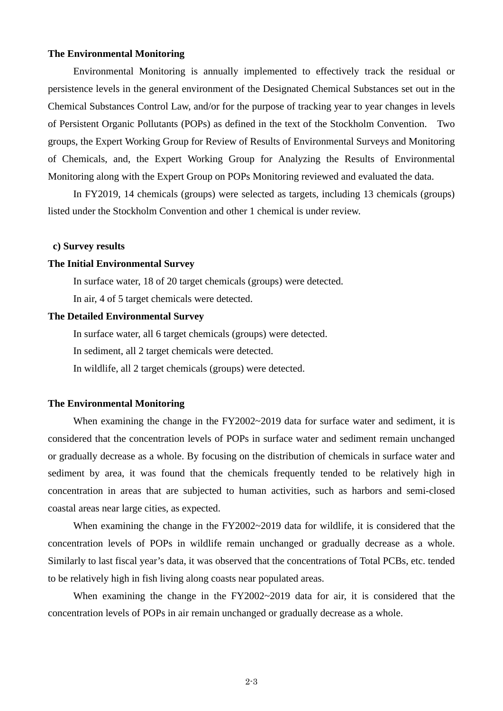# **The Environmental Monitoring**

Environmental Monitoring is annually implemented to effectively track the residual or persistence levels in the general environment of the Designated Chemical Substances set out in the Chemical Substances Control Law, and/or for the purpose of tracking year to year changes in levels of Persistent Organic Pollutants (POPs) as defined in the text of the Stockholm Convention. Two groups, the Expert Working Group for Review of Results of Environmental Surveys and Monitoring of Chemicals, and, the Expert Working Group for Analyzing the Results of Environmental Monitoring along with the Expert Group on POPs Monitoring reviewed and evaluated the data.

In FY2019, 14 chemicals (groups) were selected as targets, including 13 chemicals (groups) listed under the Stockholm Convention and other 1 chemical is under review.

#### **c) Survey results**

## **The Initial Environmental Survey**

In surface water, 18 of 20 target chemicals (groups) were detected.

In air, 4 of 5 target chemicals were detected.

#### **The Detailed Environmental Survey**

In surface water, all 6 target chemicals (groups) were detected.

In sediment, all 2 target chemicals were detected.

In wildlife, all 2 target chemicals (groups) were detected.

# **The Environmental Monitoring**

When examining the change in the FY2002~2019 data for surface water and sediment, it is considered that the concentration levels of POPs in surface water and sediment remain unchanged or gradually decrease as a whole. By focusing on the distribution of chemicals in surface water and sediment by area, it was found that the chemicals frequently tended to be relatively high in concentration in areas that are subjected to human activities, such as harbors and semi-closed coastal areas near large cities, as expected.

When examining the change in the FY2002~2019 data for wildlife, it is considered that the concentration levels of POPs in wildlife remain unchanged or gradually decrease as a whole. Similarly to last fiscal year's data, it was observed that the concentrations of Total PCBs, etc. tended to be relatively high in fish living along coasts near populated areas.

When examining the change in the FY2002~2019 data for air, it is considered that the concentration levels of POPs in air remain unchanged or gradually decrease as a whole.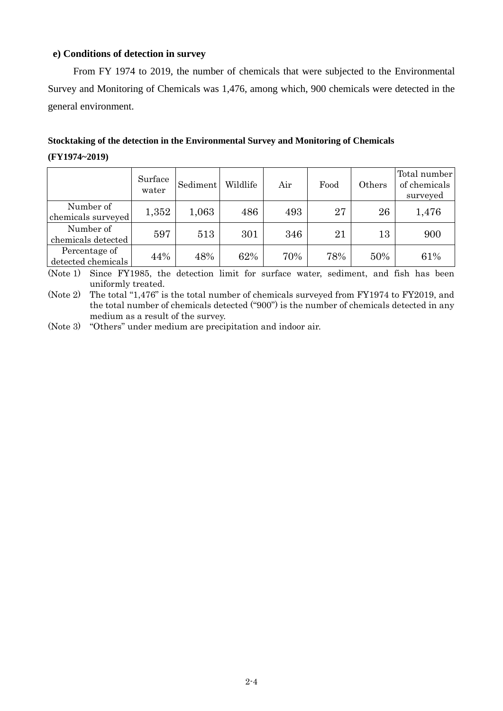# **e) Conditions of detection in survey**

From FY 1974 to 2019, the number of chemicals that were subjected to the Environmental Survey and Monitoring of Chemicals was 1,476, among which, 900 chemicals were detected in the general environment.

# **Stocktaking of the detection in the Environmental Survey and Monitoring of Chemicals**

## **(FY1974~2019)**

|                                     | Surface<br>water | Sediment | Wildlife | Air | Food | Others | Total number<br>of chemicals<br>surveyed |
|-------------------------------------|------------------|----------|----------|-----|------|--------|------------------------------------------|
| Number of<br>chemicals surveyed     | 1,352            | 1,063    | 486      | 493 | 27   | 26     | 1,476                                    |
| Number of<br>chemicals detected     | 597              | 513      | 301      | 346 | 21   | 13     | 900                                      |
| Percentage of<br>detected chemicals | 44%              | 48%      | 62%      | 70% | 78%  | 50%    | 61%                                      |

(Note 1) Since FY1985, the detection limit for surface water, sediment, and fish has been uniformly treated.

(Note 2) The total "1,476" is the total number of chemicals surveyed from FY1974 to FY2019, and the total number of chemicals detected ("900") is the number of chemicals detected in any medium as a result of the survey.

(Note 3) "Others" under medium are precipitation and indoor air.